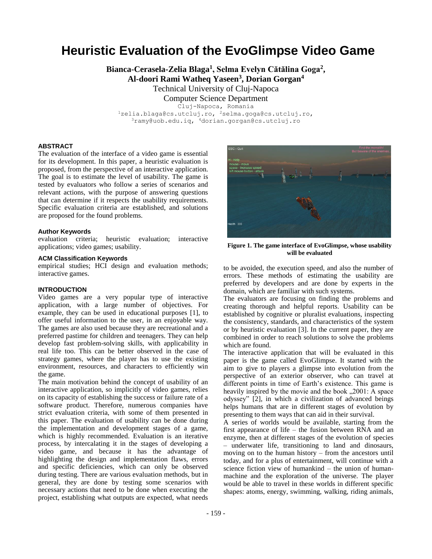# **Heuristic Evaluation of the EvoGlimpse Video Game**

**Bianca-Cerasela-Zelia Blaga<sup>1</sup> , Selma Evelyn Cătălina Goga<sup>2</sup> ,** 

**Al-doori Rami Watheq Yaseen<sup>3</sup> , Dorian Gorgan<sup>4</sup>**

Technical University of Cluj-Napoca Computer Science Department

Cluj-Napoca, Romania

<sup>1</sup>zelia.blaga@cs.utcluj.ro, <sup>2</sup>selma.goga@cs.utcluj.ro, <sup>3</sup>ramy@uob.edu.iq, <sup>4</sup>dorian.gorgan@cs.utcluj.ro

### **ABSTRACT**

The evaluation of the interface of a video game is essential for its development. In this paper, a heuristic evaluation is proposed, from the perspective of an interactive application. The goal is to estimate the level of usability. The game is tested by evaluators who follow a series of scenarios and relevant actions, with the purpose of answering questions that can determine if it respects the usability requirements. Specific evaluation criteria are established, and solutions are proposed for the found problems.

### **Author Keywords**

evaluation criteria; heuristic evaluation; interactive applications; video games; usability.

### **ACM Classification Keywords**

empirical studies; HCI design and evaluation methods; interactive games.

### **INTRODUCTION**

Video games are a very popular type of interactive application, with a large number of objectives. For example, they can be used in educational purposes [\[1\]](#page-7-0), to offer useful information to the user, in an enjoyable way. The games are also used because they are recreational and a preferred pastime for children and teenagers. They can help develop fast problem-solving skills, with applicability in real life too. This can be better observed in the case of strategy games, where the player has to use the existing environment, resources, and characters to efficiently win the game.

The main motivation behind the concept of usability of an interactive application, so implicitly of video games, relies on its capacity of establishing the success or failure rate of a software product. Therefore, numerous companies have strict evaluation criteria, with some of them presented in this paper. The evaluation of usability can be done during the implementation and development stages of a game, which is highly recommended. Evaluation is an iterative process, by intercalating it in the stages of developing a video game, and because it has the advantage of highlighting the design and implementation flaws, errors and specific deficiencies, which can only be observed during testing. There are various evaluation methods, but in general, they are done by testing some scenarios with necessary actions that need to be done when executing the project, establishing what outputs are expected, what needs



**Figure 1. The game interface of EvoGlimpse, whose usability will be evaluated**

<span id="page-0-0"></span>to be avoided, the execution speed, and also the number of errors. These methods of estimating the usability are preferred by developers and are done by experts in the domain, which are familiar with such systems.

The evaluators are focusing on finding the problems and creating thorough and helpful reports. Usability can be established by cognitive or pluralist evaluations, inspecting the consistency, standards, and characteristics of the system or by heuristic evaluation [\[3\]](#page-7-1). In the current paper, they are combined in order to reach solutions to solve the problems which are found.

The interactive application that will be evaluated in this paper is the game called EvoGlimpse. It started with the aim to give to players a glimpse into evolution from the perspective of an exterior observer, who can travel at different points in time of Earth's existence. This game is heavily inspired by the movie and the book , 2001: A space odyssey" [\[2\]](#page-7-2), in which a civilization of advanced beings helps humans that are in different stages of evolution by presenting to them ways that can aid in their survival.

A series of worlds would be available, starting from the first appearance of life – the fusion between RNA and an enzyme, then at different stages of the evolution of species – underwater life, transitioning to land and dinosaurs, moving on to the human history – from the ancestors until today, and for a plus of entertainment, will continue with a science fiction view of humankind – the union of humanmachine and the exploration of the universe. The player would be able to travel in these worlds in different specific shapes: atoms, energy, swimming, walking, riding animals,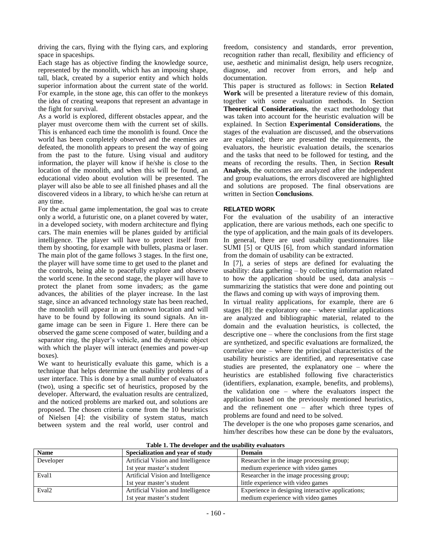driving the cars, flying with the flying cars, and exploring space in spaceships.

Each stage has as objective finding the knowledge source, represented by the monolith, which has an imposing shape, tall, black, created by a superior entity and which holds superior information about the current state of the world. For example, in the stone age, this can offer to the monkeys the idea of creating weapons that represent an advantage in the fight for survival.

As a world is explored, different obstacles appear, and the player must overcome them with the current set of skills. This is enhanced each time the monolith is found. Once the world has been completely observed and the enemies are defeated, the monolith appears to present the way of going from the past to the future. Using visual and auditory information, the player will know if he/she is close to the location of the monolith, and when this will be found, an educational video about evolution will be presented. The player will also be able to see all finished phases and all the discovered videos in a library, to which he/she can return at any time.

For the actual game implementation, the goal was to create only a world, a futuristic one, on a planet covered by water, in a developed society, with modern architecture and flying cars. The main enemies will be planes guided by artificial intelligence. The player will have to protect itself from them by shooting, for example with bullets, plasma or laser. The main plot of the game follows 3 stages. In the first one, the player will have some time to get used to the planet and the controls, being able to peacefully explore and observe the world scene. In the second stage, the player will have to protect the planet from some invaders; as the game advances, the abilities of the player increase. In the last stage, since an advanced technology state has been reached, the monolith will appear in an unknown location and will have to be found by following its sound signals. An ingame image can be seen in [Figure 1.](#page-0-0) Here there can be observed the game scene composed of water, building and a separator ring, the player's vehicle, and the dynamic object with which the player will interact (enemies and power-up boxes).

We want to heuristically evaluate this game, which is a technique that helps determine the usability problems of a user interface. This is done by a small number of evaluators (two), using a specific set of heuristics, proposed by the developer. Afterward, the evaluation results are centralized, and the noticed problems are marked out, and solutions are proposed. The chosen criteria come from the 10 heuristics of Nielsen [\[4\]](#page-7-3): the visibility of system status, match between system and the real world, user control and

freedom, consistency and standards, error prevention, recognition rather than recall, flexibility and efficiency of use, aesthetic and minimalist design, help users recognize, diagnose, and recover from errors, and help and documentation.

This paper is structured as follows: in Section **[Related](#page-1-0)  [Work](#page-1-0)** will be presented a literature review of this domain, together with some evaluation methods. In Section **[Theoretical Considerations](#page-2-0)**, the exact methodology that was taken into account for the heuristic evaluation will be explained. In Section **Experimental [Considerations](#page-3-0)**, the stages of the evaluation are discussed, and the observations are explained; there are presented the requirements, the evaluators, the heuristic evaluation details, the scenarios and the tasks that need to be followed for testing, and the means of recording the results. Then, in Section **[Result](#page-7-4)  [Analysis](#page-7-4)**, the outcomes are analyzed after the independent and group evaluations, the errors discovered are highlighted and solutions are proposed. The final observations are written in Section **[Conclusions](#page-7-5)**.

# <span id="page-1-0"></span>**RELATED WORK**

For the evaluation of the usability of an interactive application, there are various methods, each one specific to the type of application, and the main goals of its developers. In general, there are used usability questionnaires like SUMI [\[5\]](#page-7-6) or QUIS [\[6\]](#page-7-7), from which standard information from the domain of usability can be extracted.

In [\[7\]](#page-7-8), a series of steps are defined for evaluating the usability: data gathering – by collecting information related to how the application should be used, data analysis – summarizing the statistics that were done and pointing out the flaws and coming up with ways of improving them.

In virtual reality applications, for example, there are 6 stages  $[8]$ : the exploratory one – where similar applications are analyzed and bibliographic material, related to the domain and the evaluation heuristics, is collected, the descriptive one – where the conclusions from the first stage are synthetized, and specific evaluations are formalized, the correlative one – where the principal characteristics of the usability heuristics are identified, and representative case studies are presented, the explanatory one – where the heuristics are established following five characteristics (identifiers, explanation, example, benefits, and problems), the validation one – where the evaluators inspect the application based on the previously mentioned heuristics, and the refinement one – after which three types of problems are found and need to be solved.

The developer is the one who proposes game scenarios, and him/her describes how these can be done by the evaluators,

<span id="page-1-1"></span>

| <b>Name</b>       | Specialization and year of study   | <b>Domain</b>                                     |
|-------------------|------------------------------------|---------------------------------------------------|
| Developer         | Artificial Vision and Intelligence | Researcher in the image processing group;         |
|                   | 1st year master's student          | medium experience with video games                |
| Eval1             | Artificial Vision and Intelligence | Researcher in the image processing group;         |
|                   | 1st year master's student          | little experience with video games                |
| Eval <sub>2</sub> | Artificial Vision and Intelligence | Experience in designing interactive applications; |
|                   | 1st year master's student          | medium experience with video games                |

**Table 1. The developer and the usability evaluators**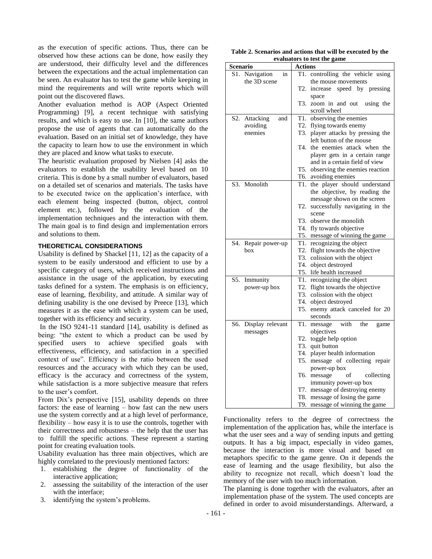as the execution of specific actions. Thus, there can be observed how these actions can be done, how easily they are understood, their difficulty level and the differences between the expectations and the actual implementation can be seen. An evaluator has to test the game while keeping in mind the requirements and will write reports which will point out the discovered flaws.

Another evaluation method is AOP (Aspect Oriented Programming) [\[9\]](#page-7-10), a recent technique with satisfying results, and which is easy to use. In [\[10\]](#page-7-11), the same authors propose the use of agents that can automatically do the evaluation. Based on an initial set of knowledge, they have the capacity to learn how to use the environment in which they are placed and know what tasks to execute.

The heuristic evaluation proposed by Nielsen [\[4\]](#page-7-3) asks the evaluators to establish the usability level based on 10 criteria. This is done by a small number of evaluators, based on a detailed set of scenarios and materials. The tasks have to be executed twice on the application's interface, with each element being inspected (button, object, control element etc.), followed by the evaluation of the implementation techniques and the interaction with them. The main goal is to find design and implementation errors and solutions to them.

# <span id="page-2-0"></span>**THEORETICAL CONSIDERATIONS**

Usability is defined by Shackel [\[11,](#page-7-12) [12\]](#page-7-13) as the capacity of a system to be easily understood and efficient to use by a specific category of users, which received instructions and assistance in the usage of the application, by executing tasks defined for a system. The emphasis is on efficiency, ease of learning, flexibility, and attitude. A similar way of defining usability is the one devised by Preece [\[13\]](#page-7-14), which measures it as the ease with which a system can be used, together with its efficiency and security.

In the ISO 9241-11 standard [\[14\]](#page-7-15), usability is defined as being: "the extent to which a product can be used by specified users to achieve specified goals with effectiveness, efficiency, and satisfaction in a specified context of use". Efficiency is the ratio between the used resources and the accuracy with which they can be used, efficacy is the accuracy and correctness of the system, while satisfaction is a more subjective measure that refers to the user's comfort.

From Dix's perspective [\[15\]](#page-7-16), usability depends on three factors: the ease of learning – how fast can the new users use the system correctly and at a high level of performance, flexibility – how easy it is to use the controls, together with their correctness and robustness – the help that the user has to fulfill the specific actions. These represent a starting point for creating evaluation tools.

Usability evaluation has three main objectives, which are highly correlated to the previously mentioned factors:

- 1. establishing the degree of functionality of the interactive application;
- 2. assessing the suitability of the interaction of the user with the interface;
- 3. identifying the system's problems.

<span id="page-2-1"></span>**Table 2. Scenarios and actions that will be executed by the evaluators to test the game**

| Scenario                | <b>Actions</b>                                              |
|-------------------------|-------------------------------------------------------------|
| S1. Navigation<br>in    | controlling the vehicle using<br>T1.                        |
| the 3D scene            | the mouse movements                                         |
|                         | T2.<br>increase speed by pressing                           |
|                         | space                                                       |
|                         | T3.<br>zoom in and out using the                            |
|                         | scroll wheel                                                |
| Attacking<br>S2.<br>and | T1. observing the enemies                                   |
| avoiding                | T2. flying towards enemy                                    |
| enemies                 | T3. player attacks by pressing the                          |
|                         | left button of the mouse                                    |
|                         | the enemies attack when the<br>T4.                          |
|                         | player gets in a certain range                              |
|                         | and in a certain field of view                              |
|                         | observing the enemies reaction<br>T5.                       |
| S3. Monolith            | T6.<br>avoiding enemies<br>T1. the player should understand |
|                         | the objective, by reading the                               |
|                         | message shown on the screen                                 |
|                         | successfully navigating in the<br>T2.                       |
|                         | scene                                                       |
|                         | T3. observe the monolith                                    |
|                         | T4. fly towards objective                                   |
|                         | T5. message of winning the game                             |
| S4.<br>Repair power-up  | T1. recognizing the object                                  |
| box                     | flight towards the objective<br>T2.                         |
|                         | T3.<br>colission with the object                            |
|                         | T4. object destroyed                                        |
|                         | T5. life health increased                                   |
| S5. Immunity            | T1. recognizing the object                                  |
| power-up box            | T2. flight towards the objective                            |
|                         | T3. colission with the object                               |
|                         | T4. object destroyed<br>T5.                                 |
|                         | enemy attack canceled for 20                                |
| S6. Display relevant    | seconds<br>T1.<br>message<br>the<br>with<br>game            |
| messages                | objectives                                                  |
|                         | toggle help option<br>T2.                                   |
|                         | T3.<br>quit button                                          |
|                         | T4. player health information                               |
|                         | message of collecting repair<br>T5.                         |
|                         | power-up box                                                |
|                         | T6.<br>message<br>οf<br>collecting                          |
|                         | immunity power-up box                                       |
|                         | T7. message of destroying enemy                             |
|                         | T8. message of losing the game                              |
|                         | message of winning the game<br>T9.                          |

Functionality refers to the degree of correctness the implementation of the application has, while the interface is what the user sees and a way of sending inputs and getting outputs. It has a big impact, especially in video games, because the interaction is more visual and based on metaphors specific to the game genre. On it depends the ease of learning and the usage flexibility, but also the ability to recognize not recall, which doesn't load the memory of the user with too much information.

The planning is done together with the evaluators, after an implementation phase of the system. The used concepts are defined in order to avoid misunderstandings. Afterward, a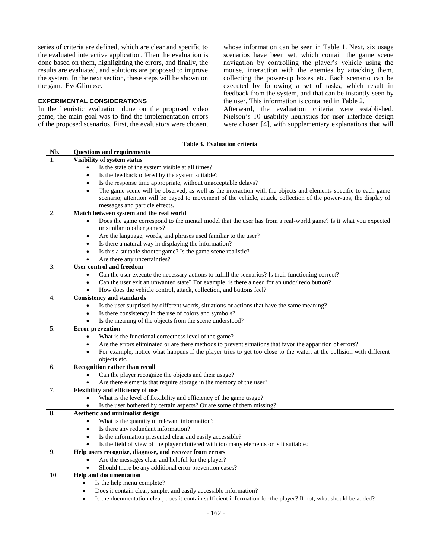series of criteria are defined, which are clear and specific to the evaluated interactive application. Then the evaluation is done based on them, highlighting the errors, and finally, the results are evaluated, and solutions are proposed to improve the system. In the next section, these steps will be shown on the game EvoGlimpse.

# <span id="page-3-0"></span>**EXPERIMENTAL CONSIDERATIONS**

In the heuristic evaluation done on the proposed video game, the main goal was to find the implementation errors of the proposed scenarios. First, the evaluators were chosen, whose information can be seen in [Table 1.](#page-1-1) Next, six usage scenarios have been set, which contain the game scene navigation by controlling the player's vehicle using the mouse, interaction with the enemies by attacking them, collecting the power-up boxes etc. Each scenario can be executed by following a set of tasks, which result in feedback from the system, and that can be instantly seen by the user. This information is contained in [Table 2.](#page-2-1)

Afterward, the evaluation criteria were established. Nielson's 10 usability heuristics for user interface design were chosen [4], with supplementary explanations that will

### **Table 3. Evaluation criteria**

<span id="page-3-1"></span>

| Nb.              | <b>Questions and requirements</b>                                                                                                |
|------------------|----------------------------------------------------------------------------------------------------------------------------------|
| $\mathbf{1}$ .   | Visibility of system status                                                                                                      |
|                  | Is the state of the system visible at all times?                                                                                 |
|                  | Is the feedback offered by the system suitable?<br>$\bullet$                                                                     |
|                  | Is the response time appropriate, without unacceptable delays?<br>$\bullet$                                                      |
|                  | The game scene will be observed, as well as the interaction with the objects and elements specific to each game<br>$\bullet$     |
|                  | scenario; attention will be payed to movement of the vehicle, attack, collection of the power-ups, the display of                |
|                  | messages and particle effects.                                                                                                   |
| 2.               | Match between system and the real world                                                                                          |
|                  | Does the game correspond to the mental model that the user has from a real-world game? Is it what you expected                   |
|                  | or similar to other games?                                                                                                       |
|                  | Are the language, words, and phrases used familiar to the user?<br>$\bullet$                                                     |
|                  | Is there a natural way in displaying the information?<br>$\bullet$                                                               |
|                  | Is this a suitable shooter game? Is the game scene realistic?<br>$\bullet$                                                       |
|                  | Are there any uncertainties?<br>$\bullet$                                                                                        |
| 3.               | <b>User control and freedom</b>                                                                                                  |
|                  | Can the user execute the necessary actions to fulfill the scenarios? Is their functioning correct?<br>$\bullet$                  |
|                  | Can the user exit an unwanted state? For example, is there a need for an undo/redo button?<br>$\bullet$                          |
|                  | How does the vehicle control, attack, collection, and buttons feel?<br>$\bullet$                                                 |
| $\overline{4}$ . | <b>Consistency and standards</b>                                                                                                 |
|                  | Is the user surprised by different words, situations or actions that have the same meaning?<br>$\bullet$                         |
|                  | Is there consistency in the use of colors and symbols?<br>$\bullet$                                                              |
|                  | Is the meaning of the objects from the scene understood?<br>$\bullet$                                                            |
| 5.               | <b>Error</b> prevention                                                                                                          |
|                  | What is the functional correctness level of the game?<br>$\bullet$                                                               |
|                  | Are the errors eliminated or are there methods to prevent situations that favor the apparition of errors?<br>$\bullet$           |
|                  | For example, notice what happens if the player tries to get too close to the water, at the collision with different<br>$\bullet$ |
|                  | objects etc.                                                                                                                     |
| 6.               | <b>Recognition rather than recall</b>                                                                                            |
|                  | Can the player recognize the objects and their usage?<br>$\bullet$                                                               |
|                  | Are there elements that require storage in the memory of the user?<br>$\bullet$                                                  |
| 7.               | Flexibility and efficiency of use                                                                                                |
|                  | What is the level of flexibility and efficiency of the game usage?<br>$\bullet$                                                  |
|                  | Is the user bothered by certain aspects? Or are some of them missing?<br>$\bullet$                                               |
| 8.               | Aesthetic and minimalist design                                                                                                  |
|                  | What is the quantity of relevant information?<br>$\bullet$                                                                       |
|                  | Is there any redundant information?<br>$\bullet$                                                                                 |
|                  | Is the information presented clear and easily accessible?<br>$\bullet$                                                           |
|                  | Is the field of view of the player cluttered with too many elements or is it suitable?<br>$\bullet$                              |
| 9.               | Help users recognize, diagnose, and recover from errors                                                                          |
|                  | Are the messages clear and helpful for the player?<br>$\bullet$                                                                  |
|                  | Should there be any additional error prevention cases?                                                                           |
| 10.              | <b>Help and documentation</b>                                                                                                    |
|                  | Is the help menu complete?<br>$\bullet$                                                                                          |
|                  | Does it contain clear, simple, and easily accessible information?<br>$\bullet$                                                   |
|                  | Is the documentation clear, does it contain sufficient information for the player? If not, what should be added?<br>$\bullet$    |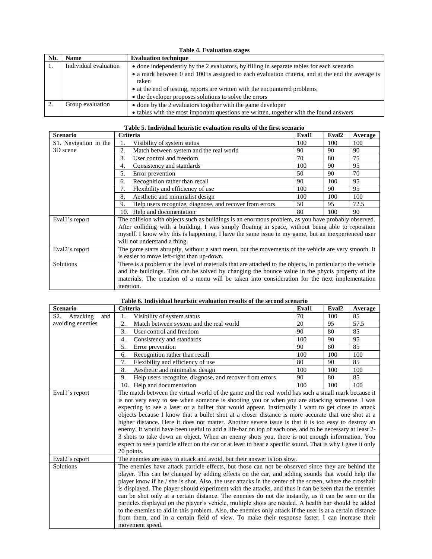<span id="page-4-0"></span>

|     | <b>Table 4. Evaluation stages</b> |                                                                                                                                      |  |  |  |
|-----|-----------------------------------|--------------------------------------------------------------------------------------------------------------------------------------|--|--|--|
| Nb. | <b>Name</b>                       | <b>Evaluation technique</b>                                                                                                          |  |  |  |
| 1.  | Individual evaluation             | • done independently by the 2 evaluators, by filling in separate tables for each scenario                                            |  |  |  |
|     |                                   | • a mark between 0 and 100 is assigned to each evaluation criteria, and at the end the average is<br>taken                           |  |  |  |
|     |                                   | • at the end of testing, reports are written with the encountered problems<br>• the developer proposes solutions to solve the errors |  |  |  |
|     |                                   |                                                                                                                                      |  |  |  |
| 2.  | Group evaluation                  | • done by the 2 evaluators together with the game developer                                                                          |  |  |  |
|     |                                   | • tables with the most important questions are written, together with the found answers                                              |  |  |  |

|  |  |  |  |  |  | Table 5. Individual heuristic evaluation results of the first scenario |
|--|--|--|--|--|--|------------------------------------------------------------------------|
|--|--|--|--|--|--|------------------------------------------------------------------------|

<span id="page-4-1"></span>

| <b>Scenario</b>       | Criteria                                                                                                    | Eval1 | Eval <sub>2</sub> | Average |
|-----------------------|-------------------------------------------------------------------------------------------------------------|-------|-------------------|---------|
| S1. Navigation in the | Visibility of system status                                                                                 | 100   | 100               | 100     |
| 3D scene              | 2.<br>Match between system and the real world                                                               | 90    | 90                | 90      |
|                       | User control and freedom<br>3.                                                                              | 70    | 80                | 75      |
|                       | Consistency and standards<br>4.                                                                             | 100   | 90                | 95      |
|                       | 5.<br>Error prevention                                                                                      | 50    | 90                | 70      |
|                       | Recognition rather than recall<br>6.                                                                        | 90    | 100               | 95      |
|                       | 7.<br>Flexibility and efficiency of use                                                                     | 100   | 90                | 95      |
|                       | Aesthetic and minimalist design<br>8.                                                                       | 100   | 100               | 100     |
|                       | Help users recognize, diagnose, and recover from errors<br>9.                                               | 50    | 95                | 72.5    |
|                       | 10. Help and documentation                                                                                  | 80    | 100               | 90      |
| Evall's report        | The collision with objects such as buildings is an enormous problem, as you have probably observed.         |       |                   |         |
|                       | After colliding with a building, I was simply floating in space, without being able to reposition           |       |                   |         |
|                       | myself. I know why this is happening, I have the same issue in my game, but an inexperienced user           |       |                   |         |
|                       | will not understand a thing.                                                                                |       |                   |         |
| Eval2's report        | The game starts abruptly, without a start menu, but the movements of the vehicle are very smooth. It        |       |                   |         |
|                       | is easier to move left-right than up-down.                                                                  |       |                   |         |
| Solutions             | There is a problem at the level of materials that are attached to the objects, in particular to the vehicle |       |                   |         |
|                       | and the buildings. This can be solved by changing the bounce value in the phycis property of the            |       |                   |         |
|                       | materials. The creation of a menu will be taken into consideration for the next implementation              |       |                   |         |
|                       | iteration.                                                                                                  |       |                   |         |

| <b>Scenario</b>                      | Criteria                                                                                                                                                                                                                                                                                                                                                                                                                                                                                                                                                                                                                                                                                                                                                                                                                                                                                                                                             | Eval1 | Eval <sub>2</sub> | Average |
|--------------------------------------|------------------------------------------------------------------------------------------------------------------------------------------------------------------------------------------------------------------------------------------------------------------------------------------------------------------------------------------------------------------------------------------------------------------------------------------------------------------------------------------------------------------------------------------------------------------------------------------------------------------------------------------------------------------------------------------------------------------------------------------------------------------------------------------------------------------------------------------------------------------------------------------------------------------------------------------------------|-------|-------------------|---------|
| S <sub>2</sub> .<br>Attacking<br>and | Visibility of system status<br>1.                                                                                                                                                                                                                                                                                                                                                                                                                                                                                                                                                                                                                                                                                                                                                                                                                                                                                                                    | 70    | 100               | 85      |
| avoiding enemies                     | 2.<br>Match between system and the real world                                                                                                                                                                                                                                                                                                                                                                                                                                                                                                                                                                                                                                                                                                                                                                                                                                                                                                        | 20    | 95                | 57.5    |
|                                      | 3.<br>User control and freedom                                                                                                                                                                                                                                                                                                                                                                                                                                                                                                                                                                                                                                                                                                                                                                                                                                                                                                                       | 90    | 80                | 85      |
|                                      | Consistency and standards<br>4.                                                                                                                                                                                                                                                                                                                                                                                                                                                                                                                                                                                                                                                                                                                                                                                                                                                                                                                      | 100   | 90                | 95      |
|                                      | 5.<br>Error prevention                                                                                                                                                                                                                                                                                                                                                                                                                                                                                                                                                                                                                                                                                                                                                                                                                                                                                                                               | 90    | 80                | 85      |
|                                      | Recognition rather than recall<br>6.                                                                                                                                                                                                                                                                                                                                                                                                                                                                                                                                                                                                                                                                                                                                                                                                                                                                                                                 | 100   | 100               | 100     |
|                                      | 7.<br>Flexibility and efficiency of use                                                                                                                                                                                                                                                                                                                                                                                                                                                                                                                                                                                                                                                                                                                                                                                                                                                                                                              | 80    | 90                | 85      |
|                                      | Aesthetic and minimalist design<br>8.                                                                                                                                                                                                                                                                                                                                                                                                                                                                                                                                                                                                                                                                                                                                                                                                                                                                                                                | 100   | 100               | 100     |
|                                      | Help users recognize, diagnose, and recover from errors<br>9.                                                                                                                                                                                                                                                                                                                                                                                                                                                                                                                                                                                                                                                                                                                                                                                                                                                                                        | 90    | 80                | 85      |
|                                      | 10. Help and documentation                                                                                                                                                                                                                                                                                                                                                                                                                                                                                                                                                                                                                                                                                                                                                                                                                                                                                                                           | 100   | 100               | 100     |
|                                      | is not very easy to see when someone is shooting you or when you are attacking someone. I was<br>expecting to see a laser or a bulltet that would appear. Instictually I want to get close to attack<br>objects because I know that a bullet shot at a closer distance is more accurate that one shot at a<br>higher distance. Here it does not matter. Another severe issue is that it is too easy to destroy an<br>enemy. It would have been useful to add a life-bar on top of each one, and to be necessary at least 2-<br>3 shots to take down an object. When an enemy shots you, there is not enough information. You<br>expect to see a particle effect on the car or at least to hear a specific sound. That is why I gave it only<br>20 points.                                                                                                                                                                                            |       |                   |         |
| Eval2's report<br>Solutions          | The enemies are easy to attack and avoid, but their answer is too slow.<br>The enemies have attack particle effects, but those can not be observed since they are behind the<br>player. This can be changed by adding effects on the car, and adding sounds that would help the<br>player know if he / she is shot. Also, the user attacks in the center of the screen, where the crosshair<br>is displayed. The player should experiment with the attacks, and thus it can be seen that the enemies<br>can be shot only at a certain distance. The enemies do not die instantly, as it can be seen on the<br>particles displayed on the player's vehicle, multiple shots are needed. A health bar should be added<br>to the enemies to aid in this problem. Also, the enemies only attack if the user is at a certain distance<br>from them, and in a certain field of view. To make their response faster, I can increase their<br>movement speed. |       |                   |         |

### **Table 6. Individual heuristic evaluation results of the second scenario**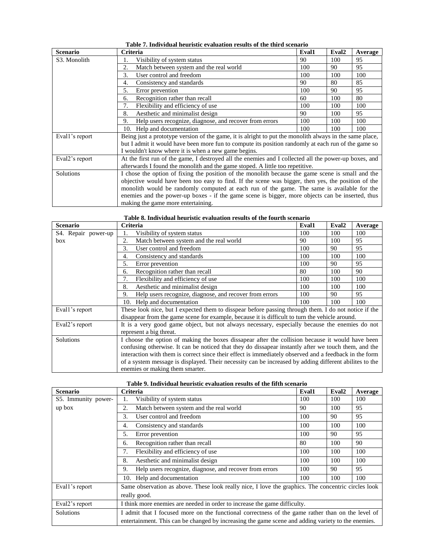| <b>Scenario</b>           | <b>Criteria</b>                                                                                         | Eval1 | Eval <sub>2</sub> | Average |  |  |
|---------------------------|---------------------------------------------------------------------------------------------------------|-------|-------------------|---------|--|--|
| S <sub>3</sub> . Monolith | Visibility of system status                                                                             | 90    | 100               | 95      |  |  |
|                           | Match between system and the real world<br>2.                                                           | 100   | 90                | 95      |  |  |
|                           | User control and freedom<br>3.                                                                          | 100   | 100               | 100     |  |  |
|                           | 90<br>80<br>85<br>Consistency and standards<br>4.                                                       |       |                   |         |  |  |
|                           | 5.<br>Error prevention                                                                                  | 100   | 90                | 95      |  |  |
|                           | Recognition rather than recall<br>6.                                                                    | 60    | 100               | 80      |  |  |
|                           | 7.<br>Flexibility and efficiency of use                                                                 | 100   | 100               | 100     |  |  |
|                           | 8.<br>Aesthetic and minimalist design                                                                   | 90    | 100               | 95      |  |  |
|                           | 9.<br>Help users recognize, diagnose, and recover from errors                                           | 100   | 100               | 100     |  |  |
|                           | 10. Help and documentation                                                                              | 100   | 100               | 100     |  |  |
| Evall's report            | Being just a prototype version of the game, it is alright to put the monolith always in the same place, |       |                   |         |  |  |
|                           | but I admit it would have been more fun to compute its position randomly at each run of the game so     |       |                   |         |  |  |
|                           | I wouldn't know where it is when a new game begins.                                                     |       |                   |         |  |  |
| Eval2's report            | At the first run of the game, I destroyed all the enemies and I collected all the power-up boxes, and   |       |                   |         |  |  |
|                           | afterwards I found the monolith and the game stoped. A little too repetitive.                           |       |                   |         |  |  |
| Solutions                 | I chose the option of fixing the position of the monolith because the game scene is small and the       |       |                   |         |  |  |
|                           | objective would have been too easy to find. If the scene was bigger, then yes, the position of the      |       |                   |         |  |  |
|                           | monolith would be randomly computed at each run of the game. The same is available for the              |       |                   |         |  |  |
|                           | enemies and the power-up boxes - if the game scene is bigger, more objects can be inserted, thus        |       |                   |         |  |  |
|                           | making the game more entertaining.                                                                      |       |                   |         |  |  |

# **Table 7. Individual heuristic evaluation results of the third scenario**

| <b>Scenario</b>     | Criteria                                                                                               | Eval1 | Eval <sub>2</sub> | Average |  |  |
|---------------------|--------------------------------------------------------------------------------------------------------|-------|-------------------|---------|--|--|
| S4. Repair power-up | Visibility of system status                                                                            | 100   | 100               | 100     |  |  |
| box                 | 2.<br>Match between system and the real world                                                          | 90    | 100               | 95      |  |  |
|                     | 3.<br>User control and freedom<br>90<br>95<br>100                                                      |       |                   |         |  |  |
|                     | Consistency and standards<br>4.                                                                        | 100   | 100               | 100     |  |  |
|                     | 5.<br>Error prevention                                                                                 | 100   | 90                | 95      |  |  |
|                     | Recognition rather than recall<br>6.                                                                   | 80    | 100               | 90      |  |  |
|                     | 7.<br>Flexibility and efficiency of use                                                                | 100   | 100               | 100     |  |  |
|                     | Aesthetic and minimalist design<br>8.                                                                  | 100   | 100               | 100     |  |  |
|                     | Help users recognize, diagnose, and recover from errors<br>9.                                          | 100   | 90                | 95      |  |  |
|                     | 10. Help and documentation                                                                             | 100   | 100               | 100     |  |  |
| Evall's report      | These look nice, but I expected them to disspear before passing through them. I do not notice if the   |       |                   |         |  |  |
|                     | disappear from the game scene for example, because it is difficult to turn the vehicle around.         |       |                   |         |  |  |
| Eval2's report      | It is a very good game object, but not always necessary, especially because the enemies do not         |       |                   |         |  |  |
|                     | represent a big threat.                                                                                |       |                   |         |  |  |
| Solutions           | I choose the option of making the boxes dissapear after the collision because it would have been       |       |                   |         |  |  |
|                     | confusing otherwise. It can be noticed that they do dissapear instantly after we touch them, and the   |       |                   |         |  |  |
|                     | interaction with them is correct since their effect is immediately observed and a feedback in the form |       |                   |         |  |  |
|                     | of a system message is displayed. Their necessity can be increased by adding different abilites to the |       |                   |         |  |  |
|                     | enemies or making them smarter.                                                                        |       |                   |         |  |  |

| Table 8. Individual heuristic evaluation results of the fourth scenario |  |  |  |
|-------------------------------------------------------------------------|--|--|--|
|                                                                         |  |  |  |

| Table 9. Individual heuristic evaluation results of the fifth scenario |  |  |  |
|------------------------------------------------------------------------|--|--|--|
|                                                                        |  |  |  |

| <b>Scenario</b>     | <b>Criteria</b>                                                                                     | Eval1 | Eval <sub>2</sub> | Average |  |  |
|---------------------|-----------------------------------------------------------------------------------------------------|-------|-------------------|---------|--|--|
| S5. Immunity power- | Visibility of system status                                                                         | 100   | 100               | 100     |  |  |
| up box              | Match between system and the real world<br>2.                                                       | 90    | 100               | 95      |  |  |
|                     | User control and freedom<br>3.                                                                      | 100   | 90                | 95      |  |  |
|                     | Consistency and standards<br>4.                                                                     | 100   | 100               | 100     |  |  |
|                     | Error prevention<br>5.                                                                              | 100   | 90                | 95      |  |  |
|                     | Recognition rather than recall<br>6.                                                                | 80    | 100               | 90      |  |  |
|                     | Flexibility and efficiency of use<br>7.                                                             | 100   | 100               | 100     |  |  |
|                     | Aesthetic and minimalist design<br>8.                                                               | 100   | 100               | 100     |  |  |
|                     | Help users recognize, diagnose, and recover from errors<br>9.                                       | 100   | 90                | 95      |  |  |
|                     | 10. Help and documentation                                                                          | 100   | 100               | 100     |  |  |
| Evall's report      | Same observation as above. These look really nice, I love the graphics. The concentric circles look |       |                   |         |  |  |
|                     | really good.                                                                                        |       |                   |         |  |  |
| Eval2's report      | I think more enemies are needed in order to increase the game difficulty.                           |       |                   |         |  |  |
| Solutions           | I admit that I focused more on the functional correctness of the game rather than on the level of   |       |                   |         |  |  |
|                     | entertainment. This can be changed by increasing the game scene and adding variety to the enemies.  |       |                   |         |  |  |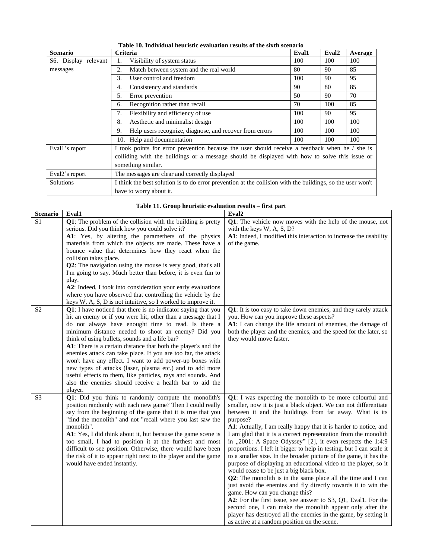<span id="page-6-0"></span>

| <b>Scenario</b>      | <b>Criteria</b>                                                                                            | Eval1 | Eval <sub>2</sub> | Average |  |
|----------------------|------------------------------------------------------------------------------------------------------------|-------|-------------------|---------|--|
| S6. Display relevant | Visibility of system status                                                                                | 100   | 100               | 100     |  |
| messages             | 2.<br>Match between system and the real world                                                              | 80    | 90                | 85      |  |
|                      | User control and freedom<br>3.                                                                             | 100   | 90                | 95      |  |
|                      | Consistency and standards<br>4.                                                                            | 90    | 80                | 85      |  |
|                      | 5.<br>Error prevention                                                                                     | 50    | 90                | 70      |  |
|                      | Recognition rather than recall<br>6.                                                                       | 70    | 100               | 85      |  |
|                      | Flexibility and efficiency of use<br>7.                                                                    | 100   | 90                | 95      |  |
|                      | Aesthetic and minimalist design<br>8.                                                                      | 100   | 100               | 100     |  |
|                      | Help users recognize, diagnose, and recover from errors<br>9.                                              | 100   | 100               | 100     |  |
|                      | 10. Help and documentation                                                                                 | 100   | 100               | 100     |  |
| Evall's report       | I took points for error prevention because the user should receive a feedback when he / she is             |       |                   |         |  |
|                      | colliding with the buildings or a message should be displayed with how to solve this issue or              |       |                   |         |  |
|                      | something similar.                                                                                         |       |                   |         |  |
| Eval2's report       | The messages are clear and correctly displayed                                                             |       |                   |         |  |
| <b>Solutions</b>     | I think the best solution is to do error prevention at the collision with the buildings, so the user won't |       |                   |         |  |
|                      | have to worry about it.                                                                                    |       |                   |         |  |

**Table 10. Individual heuristic evaluation results of the sixth scenario**

| Table 11. Group heuristic evaluation results – first part |  |  |
|-----------------------------------------------------------|--|--|
|                                                           |  |  |

<span id="page-6-1"></span>

| Scenario        | Eval1                                                          | Eval <sub>2</sub>                                                                                                             |
|-----------------|----------------------------------------------------------------|-------------------------------------------------------------------------------------------------------------------------------|
| $\overline{S1}$ | Q1: The problem of the collision with the building is pretty   | Q1: The vehicle now moves with the help of the mouse, not                                                                     |
|                 | serious. Did you think how you could solve it?                 | with the keys W, A, S, D?                                                                                                     |
|                 | A1: Yes, by altering the paramethers of the physics            | A1: Indeed, I modified this interaction to increase the usability                                                             |
|                 | materials from which the objects are made. These have a        | of the game.                                                                                                                  |
|                 | bounce value that determines how they react when the           |                                                                                                                               |
|                 | collision takes place.                                         |                                                                                                                               |
|                 | Q2: The navigation using the mouse is very good, that's all    |                                                                                                                               |
|                 | I'm going to say. Much better than before, it is even fun to   |                                                                                                                               |
|                 | play.                                                          |                                                                                                                               |
|                 | A2: Indeed, I took into consideration your early evaluations   |                                                                                                                               |
|                 | where you have observed that controlling the vehicle by the    |                                                                                                                               |
|                 | keys W, A, S, D is not intuitive, so I worked to improve it.   |                                                                                                                               |
| S <sub>2</sub>  | Q1: I have noticed that there is no indicator saying that you  | Q1: It is too easy to take down enemies, and they rarely attack                                                               |
|                 | hit an enemy or if you were hit, other than a message that I   | you. How can you improve these aspects?                                                                                       |
|                 | do not always have enought time to read. Is there a            | A1: I can change the life amount of enemies, the damage of                                                                    |
|                 | minimum distance needed to shoot an enemy? Did you             | both the player and the enemies, and the speed for the later, so                                                              |
|                 | think of using bullets, sounds and a life bar?                 | they would move faster.                                                                                                       |
|                 | A1: There is a certain distance that both the player's and the |                                                                                                                               |
|                 | enemies attack can take place. If you are too far, the attack  |                                                                                                                               |
|                 | won't have any effect. I want to add power-up boxes with       |                                                                                                                               |
|                 | new types of attacks (laser, plasma etc.) and to add more      |                                                                                                                               |
|                 | useful effects to them, like particles, rays and sounds. And   |                                                                                                                               |
|                 | also the enemies should receive a health bar to aid the        |                                                                                                                               |
|                 | player.                                                        |                                                                                                                               |
| S <sub>3</sub>  | Q1: Did you think to randomly compute the monolith's           | Q1: I was expecting the monolith to be more colourful and                                                                     |
|                 | position randomly with each new game? Then I could really      | smaller, now it is just a black object. We can not differentiate                                                              |
|                 | say from the beginning of the game that it is true that you    | between it and the buildings from far away. What is its                                                                       |
|                 | "find the monolith" and not "recall where you last saw the     | purpose?                                                                                                                      |
|                 | monolith".                                                     | A1: Actually, I am really happy that it is harder to notice, and                                                              |
|                 | A1: Yes, I did think about it, but because the game scene is   | I am glad that it is a correct representation from the monolith                                                               |
|                 | too small, I had to position it at the furthest and most       | in "2001: A Space Odyssey" [2], it even respects the 1:4:9                                                                    |
|                 | difficult to see position. Otherwise, there would have been    | proportions. I left it bigger to help in testing, but I can scale it                                                          |
|                 | the risk of it to appear right next to the player and the game | to a smaller size. In the broader picture of the game, it has the                                                             |
|                 | would have ended instantly.                                    | purpose of displaying an educational video to the player, so it                                                               |
|                 |                                                                | would cease to be just a big black box.                                                                                       |
|                 |                                                                | Q2: The monolith is in the same place all the time and I can<br>just avoid the enemies and fly directly towards it to win the |
|                 |                                                                | game. How can you change this?                                                                                                |
|                 |                                                                | A2: For the first issue, see answer to S3, Q1, Eval1. For the                                                                 |
|                 |                                                                | second one, I can make the monolith appear only after the                                                                     |
|                 |                                                                | player has destroyed all the enemies in the game, by setting it                                                               |
|                 |                                                                |                                                                                                                               |
|                 |                                                                | as active at a random position on the scene.                                                                                  |